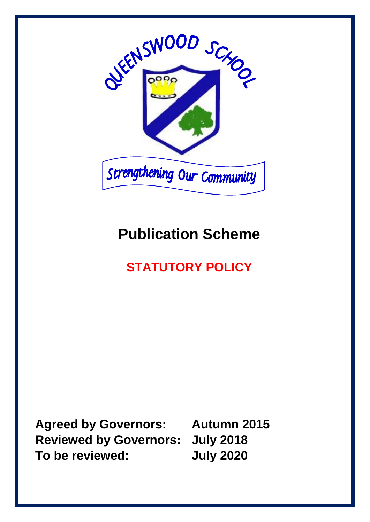

# **Publication Scheme**

## **STATUTORY POLICY**

**Agreed by Governors: Autumn 2015 Reviewed by Governors: July 2018 To be reviewed: July 2020**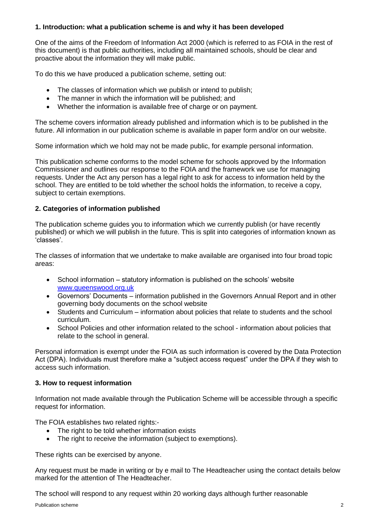#### **1. Introduction: what a publication scheme is and why it has been developed**

One of the aims of the Freedom of Information Act 2000 (which is referred to as FOIA in the rest of this document) is that public authorities, including all maintained schools, should be clear and proactive about the information they will make public.

To do this we have produced a publication scheme, setting out:

- The classes of information which we publish or intend to publish;
- The manner in which the information will be published; and
- Whether the information is available free of charge or on payment.

The scheme covers information already published and information which is to be published in the future. All information in our publication scheme is available in paper form and/or on our website.

Some information which we hold may not be made public, for example personal information.

This publication scheme conforms to the model scheme for schools approved by the Information Commissioner and outlines our response to the FOIA and the framework we use for managing requests. Under the Act any person has a legal right to ask for access to information held by the school. They are entitled to be told whether the school holds the information, to receive a copy, subject to certain exemptions.

#### **2. Categories of information published**

The publication scheme guides you to information which we currently publish (or have recently published) or which we will publish in the future. This is split into categories of information known as 'classes'.

The classes of information that we undertake to make available are organised into four broad topic areas:

- School information statutory information is published on the schools' website [www.queenswood.org.uk](http://www.queenswood.org.uk/)
- Governors' Documents information published in the Governors Annual Report and in other governing body documents on the school website
- Students and Curriculum information about policies that relate to students and the school curriculum.
- School Policies and other information related to the school information about policies that relate to the school in general.

Personal information is exempt under the FOIA as such information is covered by the Data Protection Act (DPA). Individuals must therefore make a "subject access request" under the DPA if they wish to access such information.

#### **3. How to request information**

Information not made available through the Publication Scheme will be accessible through a specific request for information.

The FOIA establishes two related rights:-

- The right to be told whether information exists
- The right to receive the information (subject to exemptions).

These rights can be exercised by anyone.

Any request must be made in writing or by e mail to The Headteacher using the contact details below marked for the attention of The Headteacher.

The school will respond to any request within 20 working days although further reasonable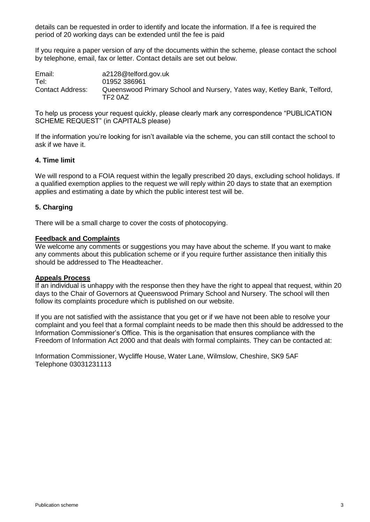details can be requested in order to identify and locate the information. If a fee is required the period of 20 working days can be extended until the fee is paid

If you require a paper version of any of the documents within the scheme, please contact the school by telephone, email, fax or letter. Contact details are set out below.

| Email:           | a2128@telford.gov.uk                                                               |
|------------------|------------------------------------------------------------------------------------|
| Tel:             | 01952 386961                                                                       |
| Contact Address: | Queenswood Primary School and Nursery, Yates way, Ketley Bank, Telford,<br>TF2 0AZ |

To help us process your request quickly, please clearly mark any correspondence "PUBLICATION SCHEME REQUEST" (in CAPITALS please)

If the information you're looking for isn't available via the scheme, you can still contact the school to ask if we have it.

#### **4. Time limit**

We will respond to a FOIA request within the legally prescribed 20 days, excluding school holidays. If a qualified exemption applies to the request we will reply within 20 days to state that an exemption applies and estimating a date by which the public interest test will be.

#### **5. Charging**

There will be a small charge to cover the costs of photocopying.

#### **Feedback and Complaints**

We welcome any comments or suggestions you may have about the scheme. If you want to make any comments about this publication scheme or if you require further assistance then initially this should be addressed to The Headteacher.

#### **Appeals Process**

If an individual is unhappy with the response then they have the right to appeal that request, within 20 days to the Chair of Governors at Queenswood Primary School and Nursery. The school will then follow its complaints procedure which is published on our website.

If you are not satisfied with the assistance that you get or if we have not been able to resolve your complaint and you feel that a formal complaint needs to be made then this should be addressed to the Information Commissioner's Office. This is the organisation that ensures compliance with the Freedom of Information Act 2000 and that deals with formal complaints. They can be contacted at:

Information Commissioner, Wycliffe House, Water Lane, Wilmslow, Cheshire, SK9 5AF Telephone 03031231113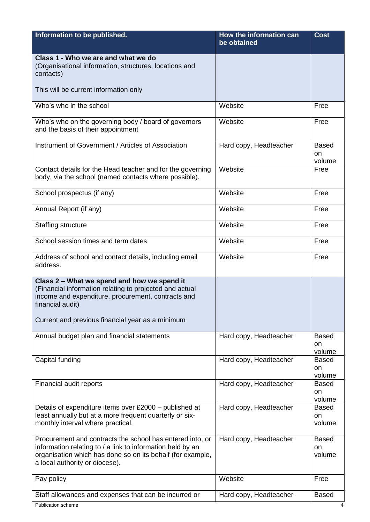| Information to be published.                                                                                                                                                                                            | How the information can<br>be obtained | <b>Cost</b>                  |
|-------------------------------------------------------------------------------------------------------------------------------------------------------------------------------------------------------------------------|----------------------------------------|------------------------------|
| Class 1 - Who we are and what we do<br>(Organisational information, structures, locations and<br>contacts)                                                                                                              |                                        |                              |
| This will be current information only                                                                                                                                                                                   |                                        |                              |
| Who's who in the school                                                                                                                                                                                                 | Website                                | Free                         |
| Who's who on the governing body / board of governors<br>and the basis of their appointment                                                                                                                              | Website                                | Free                         |
| Instrument of Government / Articles of Association                                                                                                                                                                      | Hard copy, Headteacher                 | <b>Based</b><br>on<br>volume |
| Contact details for the Head teacher and for the governing<br>body, via the school (named contacts where possible).                                                                                                     | Website                                | Free                         |
| School prospectus (if any)                                                                                                                                                                                              | Website                                | Free                         |
| Annual Report (if any)                                                                                                                                                                                                  | Website                                | Free                         |
| Staffing structure                                                                                                                                                                                                      | Website                                | Free                         |
| School session times and term dates                                                                                                                                                                                     | Website                                | Free                         |
| Address of school and contact details, including email<br>address.                                                                                                                                                      | Website                                | Free                         |
| Class 2 - What we spend and how we spend it<br>(Financial information relating to projected and actual<br>income and expenditure, procurement, contracts and<br>financial audit)                                        |                                        |                              |
| Current and previous financial year as a minimum                                                                                                                                                                        |                                        |                              |
| Annual budget plan and financial statements                                                                                                                                                                             | Hard copy, Headteacher                 | <b>Based</b><br>on<br>volume |
| Capital funding                                                                                                                                                                                                         | Hard copy, Headteacher                 | <b>Based</b><br>on<br>volume |
| Financial audit reports                                                                                                                                                                                                 | Hard copy, Headteacher                 | <b>Based</b><br>on<br>volume |
| Details of expenditure items over £2000 – published at<br>least annually but at a more frequent quarterly or six-<br>monthly interval where practical.                                                                  | Hard copy, Headteacher                 | <b>Based</b><br>on<br>volume |
| Procurement and contracts the school has entered into, or<br>information relating to / a link to information held by an<br>organisation which has done so on its behalf (for example,<br>a local authority or diocese). | Hard copy, Headteacher                 | Based<br><b>on</b><br>volume |
| Pay policy                                                                                                                                                                                                              | Website                                | Free                         |
| Staff allowances and expenses that can be incurred or                                                                                                                                                                   | Hard copy, Headteacher                 | <b>Based</b>                 |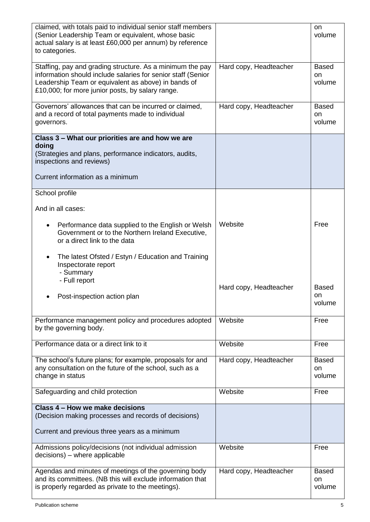| claimed, with totals paid to individual senior staff members<br>(Senior Leadership Team or equivalent, whose basic<br>actual salary is at least £60,000 per annum) by reference<br>to categories.                                    |                        | on<br>volume                            |
|--------------------------------------------------------------------------------------------------------------------------------------------------------------------------------------------------------------------------------------|------------------------|-----------------------------------------|
| Staffing, pay and grading structure. As a minimum the pay<br>information should include salaries for senior staff (Senior<br>Leadership Team or equivalent as above) in bands of<br>£10,000; for more junior posts, by salary range. | Hard copy, Headteacher | Based<br>on<br>volume                   |
| Governors' allowances that can be incurred or claimed,<br>and a record of total payments made to individual<br>governors.                                                                                                            | Hard copy, Headteacher | <b>Based</b><br><sub>on</sub><br>volume |
| Class 3 – What our priorities are and how we are<br>doing<br>(Strategies and plans, performance indicators, audits,<br>inspections and reviews)                                                                                      |                        |                                         |
| Current information as a minimum                                                                                                                                                                                                     |                        |                                         |
| School profile                                                                                                                                                                                                                       |                        |                                         |
| And in all cases:                                                                                                                                                                                                                    |                        |                                         |
| Performance data supplied to the English or Welsh<br>Government or to the Northern Ireland Executive,<br>or a direct link to the data                                                                                                | Website                | Free                                    |
| The latest Ofsted / Estyn / Education and Training<br>Inspectorate report<br>- Summary<br>- Full report                                                                                                                              |                        |                                         |
| Post-inspection action plan                                                                                                                                                                                                          | Hard copy, Headteacher | <b>Based</b><br>on.<br>volume           |
| Performance management policy and procedures adopted<br>by the governing body.                                                                                                                                                       | Website                | Free                                    |
| Performance data or a direct link to it                                                                                                                                                                                              | Website                | Free                                    |
| The school's future plans; for example, proposals for and<br>any consultation on the future of the school, such as a<br>change in status                                                                                             | Hard copy, Headteacher | <b>Based</b><br>on<br>volume            |
| Safeguarding and child protection                                                                                                                                                                                                    | Website                | Free                                    |
| Class 4 – How we make decisions<br>(Decision making processes and records of decisions)                                                                                                                                              |                        |                                         |
| Current and previous three years as a minimum                                                                                                                                                                                        |                        |                                         |
| Admissions policy/decisions (not individual admission<br>decisions) – where applicable                                                                                                                                               | Website                | Free                                    |
| Agendas and minutes of meetings of the governing body<br>and its committees. (NB this will exclude information that<br>is properly regarded as private to the meetings).                                                             | Hard copy, Headteacher | <b>Based</b><br>on.<br>volume           |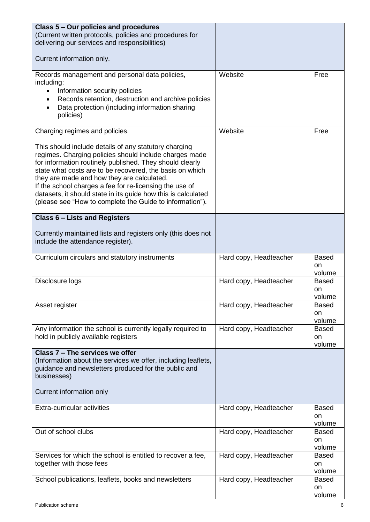| Class 5 – Our policies and procedures<br>(Current written protocols, policies and procedures for<br>delivering our services and responsibilities)<br>Current information only.                                                                                                                                                                                                                                                                                                                                  |                        |                                     |
|-----------------------------------------------------------------------------------------------------------------------------------------------------------------------------------------------------------------------------------------------------------------------------------------------------------------------------------------------------------------------------------------------------------------------------------------------------------------------------------------------------------------|------------------------|-------------------------------------|
| Records management and personal data policies,<br>including:<br>Information security policies<br>Records retention, destruction and archive policies<br>Data protection (including information sharing<br>policies)                                                                                                                                                                                                                                                                                             | Website                | Free                                |
| Charging regimes and policies.<br>This should include details of any statutory charging<br>regimes. Charging policies should include charges made<br>for information routinely published. They should clearly<br>state what costs are to be recovered, the basis on which<br>they are made and how they are calculated.<br>If the school charges a fee for re-licensing the use of<br>datasets, it should state in its guide how this is calculated<br>(please see "How to complete the Guide to information"). | Website                | Free                                |
| <b>Class 6 - Lists and Registers</b><br>Currently maintained lists and registers only (this does not<br>include the attendance register).                                                                                                                                                                                                                                                                                                                                                                       |                        |                                     |
| Curriculum circulars and statutory instruments                                                                                                                                                                                                                                                                                                                                                                                                                                                                  | Hard copy, Headteacher | <b>Based</b><br><b>on</b><br>volume |
| Disclosure logs                                                                                                                                                                                                                                                                                                                                                                                                                                                                                                 | Hard copy, Headteacher | <b>Based</b><br>on<br>volume        |
| Asset register                                                                                                                                                                                                                                                                                                                                                                                                                                                                                                  | Hard copy, Headteacher | <b>Based</b><br>on<br>volume        |
| Any information the school is currently legally required to<br>hold in publicly available registers                                                                                                                                                                                                                                                                                                                                                                                                             | Hard copy, Headteacher | <b>Based</b><br>on<br>volume        |
| Class 7 - The services we offer<br>(Information about the services we offer, including leaflets,<br>guidance and newsletters produced for the public and<br>businesses)<br>Current information only                                                                                                                                                                                                                                                                                                             |                        |                                     |
| Extra-curricular activities                                                                                                                                                                                                                                                                                                                                                                                                                                                                                     | Hard copy, Headteacher | <b>Based</b><br>on<br>volume        |
| Out of school clubs                                                                                                                                                                                                                                                                                                                                                                                                                                                                                             | Hard copy, Headteacher | <b>Based</b><br>on<br>volume        |
| Services for which the school is entitled to recover a fee,<br>together with those fees                                                                                                                                                                                                                                                                                                                                                                                                                         | Hard copy, Headteacher | <b>Based</b><br>on<br>volume        |
| School publications, leaflets, books and newsletters                                                                                                                                                                                                                                                                                                                                                                                                                                                            | Hard copy, Headteacher | <b>Based</b><br>on<br>volume        |